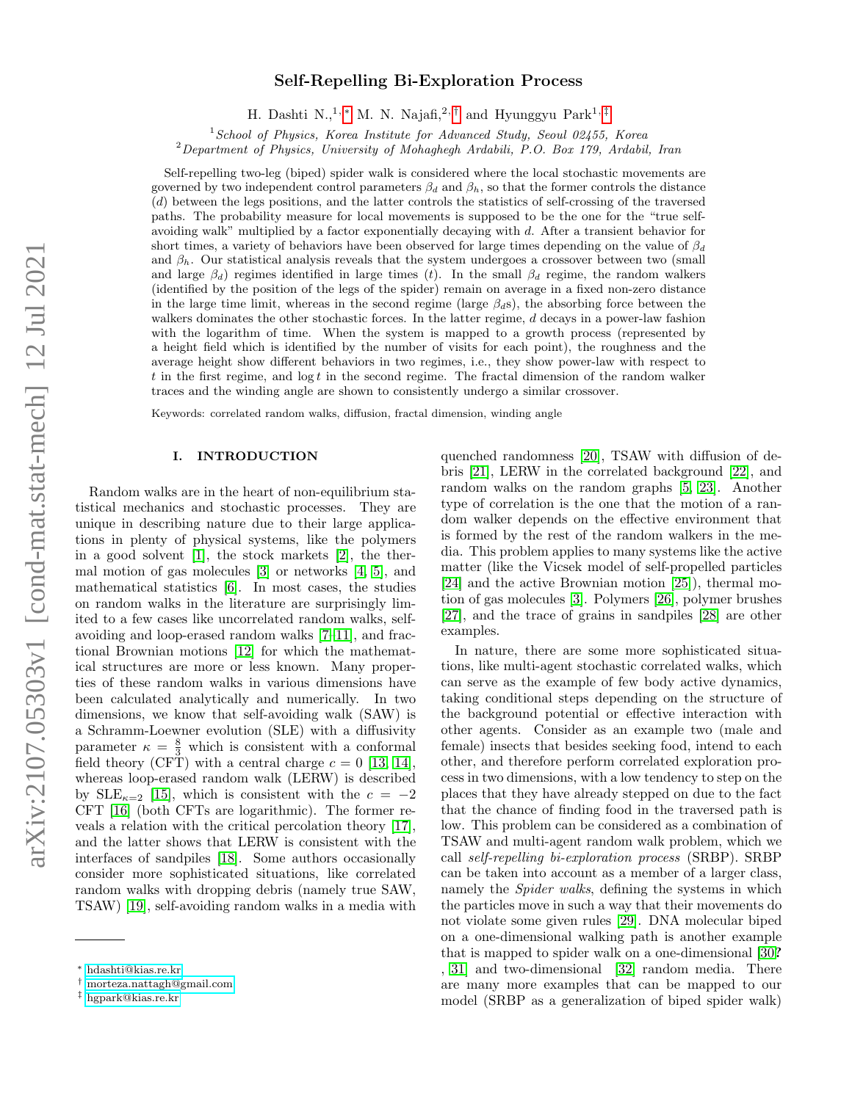# Self-Repelling Bi-Exploration Process

H. Dashti N.,<sup>1,\*</sup> M. N. Najafi,<sup>2,[†](#page-0-1)</sup> and Hyunggyu Park<sup>1,[‡](#page-0-2)</sup>

 $1$ School of Physics, Korea Institute for Advanced Study, Seoul 02455, Korea

<sup>2</sup>Department of Physics, University of Mohaghegh Ardabili, P.O. Box 179, Ardabil, Iran

Self-repelling two-leg (biped) spider walk is considered where the local stochastic movements are governed by two independent control parameters  $\beta_d$  and  $\beta_h$ , so that the former controls the distance (d) between the legs positions, and the latter controls the statistics of self-crossing of the traversed paths. The probability measure for local movements is supposed to be the one for the "true selfavoiding walk" multiplied by a factor exponentially decaying with d. After a transient behavior for short times, a variety of behaviors have been observed for large times depending on the value of  $\beta_d$ and  $\beta_h$ . Our statistical analysis reveals that the system undergoes a crossover between two (small and large  $\beta_d$ ) regimes identified in large times (t). In the small  $\beta_d$  regime, the random walkers (identified by the position of the legs of the spider) remain on average in a fixed non-zero distance in the large time limit, whereas in the second regime (large  $\beta_d$ s), the absorbing force between the walkers dominates the other stochastic forces. In the latter regime, d decays in a power-law fashion with the logarithm of time. When the system is mapped to a growth process (represented by a height field which is identified by the number of visits for each point), the roughness and the average height show different behaviors in two regimes, i.e., they show power-law with respect to t in the first regime, and  $\log t$  in the second regime. The fractal dimension of the random walker traces and the winding angle are shown to consistently undergo a similar crossover.

Keywords: correlated random walks, diffusion, fractal dimension, winding angle

## I. INTRODUCTION

Random walks are in the heart of non-equilibrium statistical mechanics and stochastic processes. They are unique in describing nature due to their large applications in plenty of physical systems, like the polymers in a good solvent [\[1\]](#page-7-0), the stock markets [\[2\]](#page-7-1), the thermal motion of gas molecules [\[3\]](#page-7-2) or networks [\[4,](#page-7-3) [5\]](#page-7-4), and mathematical statistics [\[6\]](#page-7-5). In most cases, the studies on random walks in the literature are surprisingly limited to a few cases like uncorrelated random walks, selfavoiding and loop-erased random walks [\[7](#page-7-6)[–11\]](#page-7-7), and fractional Brownian motions [\[12\]](#page-7-8) for which the mathematical structures are more or less known. Many properties of these random walks in various dimensions have been calculated analytically and numerically. In two dimensions, we know that self-avoiding walk (SAW) is a Schramm-Loewner evolution (SLE) with a diffusivity parameter  $\kappa = \frac{8}{3}$  which is consistent with a conformal field theory (CFT) with a central charge  $c = 0$  [\[13,](#page-7-9) [14\]](#page-8-0), whereas loop-erased random walk (LERW) is described by  $SLE_{\kappa=2}$  [\[15\]](#page-8-1), which is consistent with the  $c = -2$ CFT [\[16\]](#page-8-2) (both CFTs are logarithmic). The former reveals a relation with the critical percolation theory [\[17\]](#page-8-3), and the latter shows that LERW is consistent with the interfaces of sandpiles [\[18\]](#page-8-4). Some authors occasionally consider more sophisticated situations, like correlated random walks with dropping debris (namely true SAW, TSAW) [\[19\]](#page-8-5), self-avoiding random walks in a media with

quenched randomness [\[20\]](#page-8-6), TSAW with diffusion of debris [\[21\]](#page-8-7), LERW in the correlated background [\[22\]](#page-8-8), and random walks on the random graphs [\[5,](#page-7-4) [23\]](#page-8-9). Another type of correlation is the one that the motion of a random walker depends on the effective environment that is formed by the rest of the random walkers in the media. This problem applies to many systems like the active matter (like the Vicsek model of self-propelled particles [\[24\]](#page-8-10) and the active Brownian motion [\[25\]](#page-8-11)), thermal motion of gas molecules [\[3\]](#page-7-2). Polymers [\[26\]](#page-8-12), polymer brushes [\[27\]](#page-8-13), and the trace of grains in sandpiles [\[28\]](#page-8-14) are other examples.

In nature, there are some more sophisticated situations, like multi-agent stochastic correlated walks, which can serve as the example of few body active dynamics, taking conditional steps depending on the structure of the background potential or effective interaction with other agents. Consider as an example two (male and female) insects that besides seeking food, intend to each other, and therefore perform correlated exploration process in two dimensions, with a low tendency to step on the places that they have already stepped on due to the fact that the chance of finding food in the traversed path is low. This problem can be considered as a combination of TSAW and multi-agent random walk problem, which we call self-repelling bi-exploration process (SRBP). SRBP can be taken into account as a member of a larger class, namely the Spider walks, defining the systems in which the particles move in such a way that their movements do not violate some given rules [\[29\]](#page-8-15). DNA molecular biped on a one-dimensional walking path is another example that is mapped to spider walk on a one-dimensional [\[30](#page-8-16)? , [31\]](#page-8-17) and two-dimensional [\[32\]](#page-8-18) random media. There are many more examples that can be mapped to our model (SRBP as a generalization of biped spider walk)

<span id="page-0-0"></span><sup>∗</sup> [hdashti@kias.re.kr](mailto:hdashti@kias.re.kr)

<span id="page-0-1"></span><sup>†</sup> [morteza.nattagh@gmail.com](mailto:morteza.nattagh@gmail.com)

<span id="page-0-2"></span><sup>‡</sup> [hgpark@kias.re.kr](mailto:hgpark@kias.re.kr)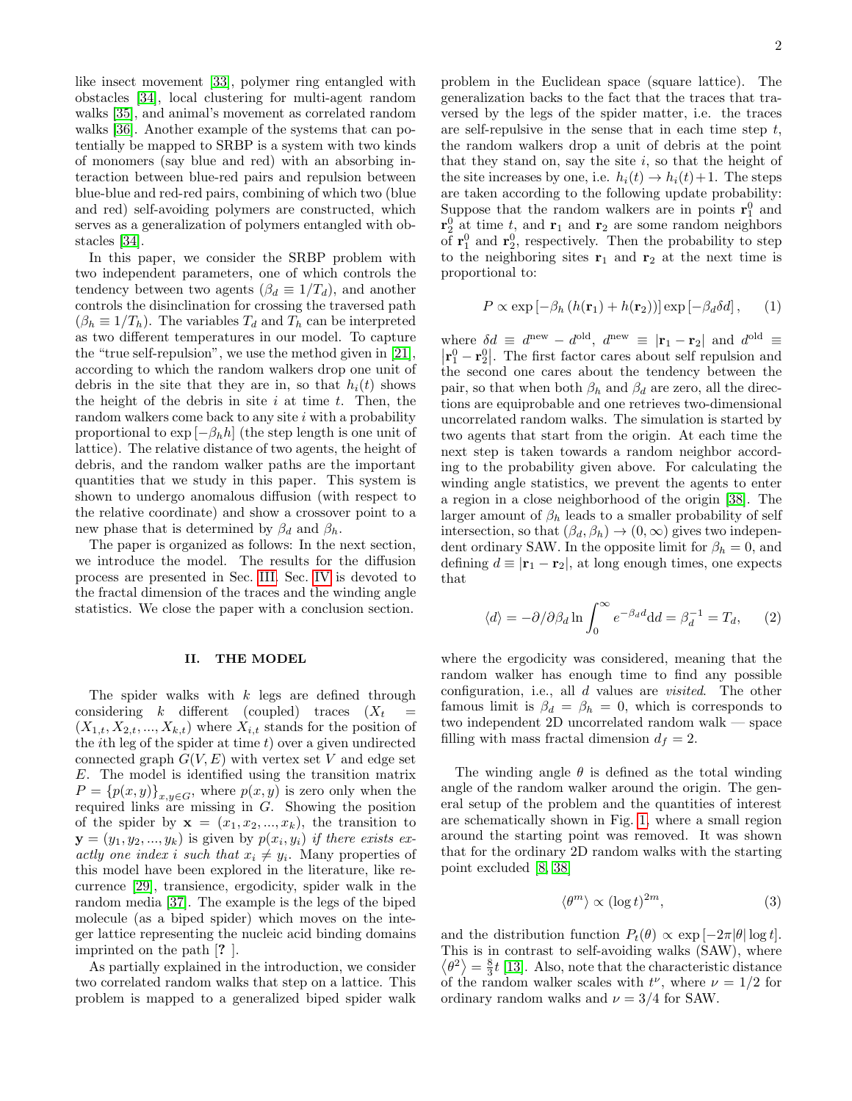like insect movement [\[33\]](#page-8-19), polymer ring entangled with obstacles [\[34\]](#page-8-20), local clustering for multi-agent random walks [\[35\]](#page-8-21), and animal's movement as correlated random walks [\[36\]](#page-8-22). Another example of the systems that can potentially be mapped to SRBP is a system with two kinds of monomers (say blue and red) with an absorbing interaction between blue-red pairs and repulsion between blue-blue and red-red pairs, combining of which two (blue and red) self-avoiding polymers are constructed, which serves as a generalization of polymers entangled with obstacles [\[34\]](#page-8-20).

In this paper, we consider the SRBP problem with two independent parameters, one of which controls the tendency between two agents ( $\beta_d \equiv 1/T_d$ ), and another controls the disinclination for crossing the traversed path  $(\beta_h \equiv 1/T_h)$ . The variables  $T_d$  and  $T_h$  can be interpreted as two different temperatures in our model. To capture the "true self-repulsion", we use the method given in [\[21\]](#page-8-7), according to which the random walkers drop one unit of debris in the site that they are in, so that  $h_i(t)$  shows the height of the debris in site  $i$  at time  $t$ . Then, the random walkers come back to any site  $i$  with a probability proportional to  $\exp[-\beta_h h]$  (the step length is one unit of lattice). The relative distance of two agents, the height of debris, and the random walker paths are the important quantities that we study in this paper. This system is shown to undergo anomalous diffusion (with respect to the relative coordinate) and show a crossover point to a new phase that is determined by  $\beta_d$  and  $\beta_h$ .

The paper is organized as follows: In the next section, we introduce the model. The results for the diffusion process are presented in Sec. [III.](#page-2-0) Sec. [IV](#page-5-0) is devoted to the fractal dimension of the traces and the winding angle statistics. We close the paper with a conclusion section.

### II. THE MODEL

The spider walks with  $k$  legs are defined through considering k different (coupled) traces  $(X_t$  $(X_{1,t}, X_{2,t}, ..., X_{k,t})$  where  $X_{i,t}$  stands for the position of the *i*th leg of the spider at time  $t$ ) over a given undirected connected graph  $G(V, E)$  with vertex set V and edge set E. The model is identified using the transition matrix  $P = \{p(x, y)\}_{x, y \in G}$ , where  $p(x, y)$  is zero only when the required links are missing in G. Showing the position of the spider by  $\mathbf{x} = (x_1, x_2, ..., x_k)$ , the transition to  $\mathbf{y} = (y_1, y_2, ..., y_k)$  is given by  $p(x_i, y_i)$  if there exists exactly one index i such that  $x_i \neq y_i$ . Many properties of this model have been explored in the literature, like recurrence [\[29\]](#page-8-15), transience, ergodicity, spider walk in the random media [\[37\]](#page-8-23). The example is the legs of the biped molecule (as a biped spider) which moves on the integer lattice representing the nucleic acid binding domains imprinted on the path [? ].

As partially explained in the introduction, we consider two correlated random walks that step on a lattice. This problem is mapped to a generalized biped spider walk problem in the Euclidean space (square lattice). The generalization backs to the fact that the traces that traversed by the legs of the spider matter, i.e. the traces are self-repulsive in the sense that in each time step  $t$ , the random walkers drop a unit of debris at the point that they stand on, say the site  $i$ , so that the height of the site increases by one, i.e.  $h_i(t) \rightarrow h_i(t) + 1$ . The steps are taken according to the following update probability: Suppose that the random walkers are in points  $\mathbf{r}_1^0$  and  $\mathbf{r}_2^0$  at time t, and  $\mathbf{r}_1$  and  $\mathbf{r}_2$  are some random neighbors of  $\mathbf{r}_1^0$  and  $\mathbf{r}_2^0$ , respectively. Then the probability to step to the neighboring sites  $r_1$  and  $r_2$  at the next time is proportional to:

<span id="page-1-0"></span>
$$
P \propto \exp\left[-\beta_h \left(h(\mathbf{r}_1) + h(\mathbf{r}_2)\right)\right] \exp\left[-\beta_d \delta d\right],\tag{1}
$$

where  $\delta d \equiv d^{\text{new}} - d^{\text{old}}$ ,  $d^{\text{new}} \equiv |\mathbf{r}_1 - \mathbf{r}_2|$  and  $d^{\text{old}} \equiv$  $\left|\mathbf{r}_1^0 - \mathbf{r}_2^0\right|$ . The first factor cares about self repulsion and the second one cares about the tendency between the pair, so that when both  $\beta_h$  and  $\beta_d$  are zero, all the directions are equiprobable and one retrieves two-dimensional uncorrelated random walks. The simulation is started by two agents that start from the origin. At each time the next step is taken towards a random neighbor according to the probability given above. For calculating the winding angle statistics, we prevent the agents to enter a region in a close neighborhood of the origin [\[38\]](#page-8-24). The larger amount of  $\beta_h$  leads to a smaller probability of self intersection, so that  $(\beta_d, \beta_h) \to (0, \infty)$  gives two independent ordinary SAW. In the opposite limit for  $\beta_h = 0$ , and defining  $d \equiv |\mathbf{r}_1 - \mathbf{r}_2|$ , at long enough times, one expects that

<span id="page-1-1"></span>
$$
\langle d \rangle = -\partial/\partial \beta_d \ln \int_0^\infty e^{-\beta_d d} \mathrm{d}d = \beta_d^{-1} = T_d,\qquad(2)
$$

where the ergodicity was considered, meaning that the random walker has enough time to find any possible configuration, i.e., all d values are visited. The other famous limit is  $\beta_d = \beta_h = 0$ , which is corresponds to two independent 2D uncorrelated random walk — space filling with mass fractal dimension  $d_f = 2$ .

The winding angle  $\theta$  is defined as the total winding angle of the random walker around the origin. The general setup of the problem and the quantities of interest are schematically shown in Fig. [1,](#page-2-1) where a small region around the starting point was removed. It was shown that for the ordinary 2D random walks with the starting point excluded [\[8,](#page-7-10) [38\]](#page-8-24)

<span id="page-1-2"></span>
$$
\langle \theta^m \rangle \propto (\log t)^{2m},\tag{3}
$$

and the distribution function  $P_t(\theta) \propto \exp[-2\pi |\theta| \log t]$ . This is in contrast to self-avoiding walks (SAW), where  $\langle \theta^2 \rangle = \frac{8}{3}t$  [\[13\]](#page-7-9). Also, note that the characteristic distance of the random walker scales with  $t^{\nu}$ , where  $\nu = 1/2$  for ordinary random walks and  $\nu = 3/4$  for SAW.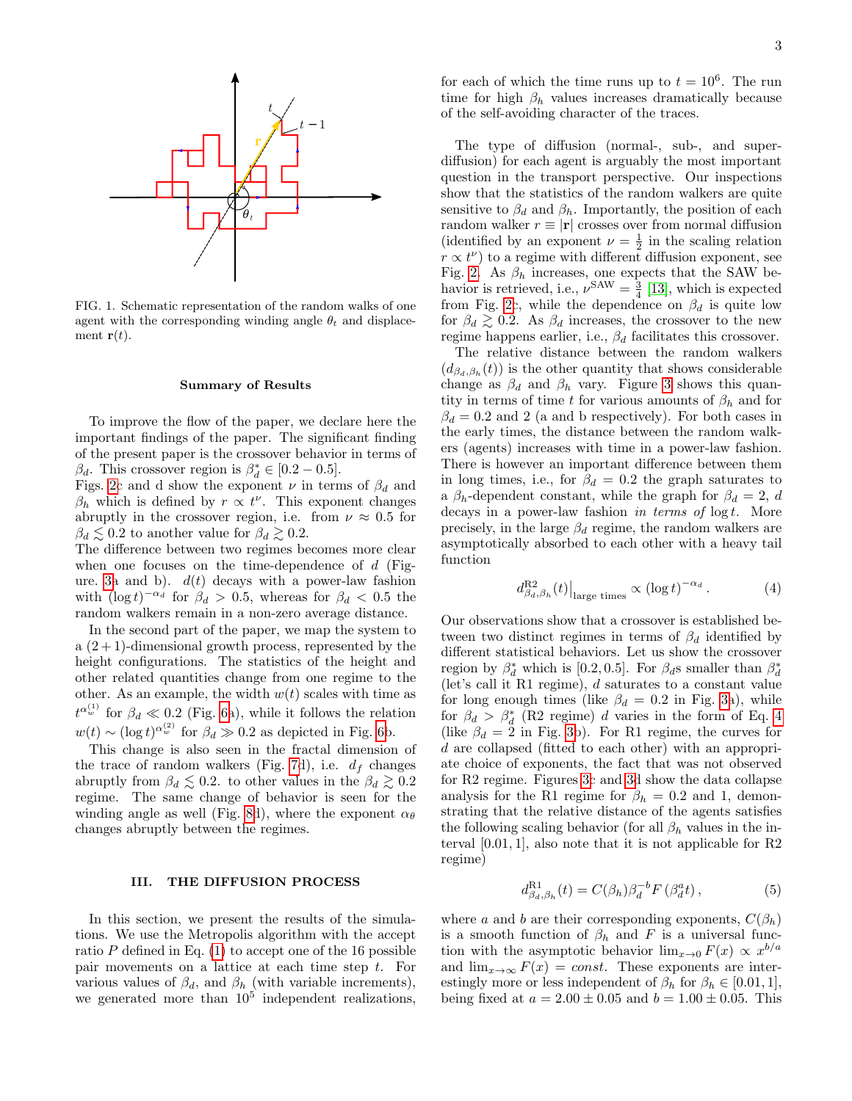

<span id="page-2-1"></span>FIG. 1. Schematic representation of the random walks of one agent with the corresponding winding angle  $\theta_t$  and displacement  $\mathbf{r}(t)$ .

#### Summary of Results

To improve the flow of the paper, we declare here the important findings of the paper. The significant finding of the present paper is the crossover behavior in terms of  $\beta_d$ . This crossover region is  $\beta_d^* \in [0.2 - 0.5]$ .

Figs. [2c](#page-3-0) and d show the exponent  $\nu$  in terms of  $\beta_d$  and  $\beta_h$  which is defined by  $r \propto t^{\nu}$ . This exponent changes abruptly in the crossover region, i.e. from  $\nu \approx 0.5$  for  $\beta_d \lesssim 0.2$  to another value for  $\beta_d \gtrsim 0.2$ .

The difference between two regimes becomes more clear when one focuses on the time-dependence of  $d$  (Fig-ure. [3a](#page-3-1) and b).  $d(t)$  decays with a power-law fashion with  $(\log t)^{-\alpha_d}$  for  $\beta_d > 0.5$ , whereas for  $\beta_d < 0.5$  the random walkers remain in a non-zero average distance.

In the second part of the paper, we map the system to a  $(2+1)$ -dimensional growth process, represented by the height configurations. The statistics of the height and other related quantities change from one regime to the other. As an example, the width  $w(t)$  scales with time as  $t^{\alpha_w^{(1)}}$  for  $\beta_d \ll 0.2$  (Fig. [6a](#page-5-1)), while it follows the relation  $w(t) \sim (\log t)^{\alpha_w^{(2)}}$  for  $\beta_d \gg 0.2$  as depicted in Fig. [6b](#page-5-1).

This change is also seen in the fractal dimension of the trace of random walkers (Fig. [7d](#page-6-0)), i.e.  $d_f$  changes abruptly from  $\beta_d \lesssim 0.2$ . to other values in the  $\beta_d \gtrsim 0.2$ regime. The same change of behavior is seen for the winding angle as well (Fig. [8d](#page-6-1)), where the exponent  $\alpha_{\theta}$ changes abruptly between the regimes.

## <span id="page-2-0"></span>III. THE DIFFUSION PROCESS

In this section, we present the results of the simulations. We use the Metropolis algorithm with the accept ratio  $P$  defined in Eq.  $(1)$  to accept one of the 16 possible pair movements on a lattice at each time step t. For various values of  $\beta_d$ , and  $\beta_h$  (with variable increments), we generated more than  $10^5$  independent realizations,

for each of which the time runs up to  $t = 10^6$ . The run time for high  $\beta_h$  values increases dramatically because of the self-avoiding character of the traces.

The type of diffusion (normal-, sub-, and superdiffusion) for each agent is arguably the most important question in the transport perspective. Our inspections show that the statistics of the random walkers are quite sensitive to  $\beta_d$  and  $\beta_h$ . Importantly, the position of each random walker  $r \equiv |\mathbf{r}|$  crosses over from normal diffusion (identified by an exponent  $\nu = \frac{1}{2}$  in the scaling relation  $r \propto t^{\nu}$ ) to a regime with different diffusion exponent, see Fig. [2.](#page-3-0) As  $\beta_h$  increases, one expects that the SAW behavior is retrieved, i.e.,  $\nu^{\text{SAW}} = \frac{3}{4}$  [\[13\]](#page-7-9), which is expected from Fig. [2c](#page-3-0), while the dependence on  $\beta_d$  is quite low for  $\beta_d \gtrsim 0.2$ . As  $\beta_d$  increases, the crossover to the new regime happens earlier, i.e.,  $\beta_d$  facilitates this crossover.

The relative distance between the random walkers  $(d_{\beta_d,\beta_h}(t))$  is the other quantity that shows considerable change as  $\beta_d$  and  $\beta_h$  vary. Figure [3](#page-3-1) shows this quantity in terms of time t for various amounts of  $\beta_h$  and for  $\beta_d = 0.2$  and 2 (a and b respectively). For both cases in the early times, the distance between the random walkers (agents) increases with time in a power-law fashion. There is however an important difference between them in long times, i.e., for  $\beta_d = 0.2$  the graph saturates to a  $\beta_h$ -dependent constant, while the graph for  $\beta_d = 2$ , d decays in a power-law fashion in terms of  $\log t$ . More precisely, in the large  $\beta_d$  regime, the random walkers are asymptotically absorbed to each other with a heavy tail function

<span id="page-2-2"></span>
$$
d_{\beta_d,\beta_h}^{R2}(t)|_{\text{large times}} \propto (\log t)^{-\alpha_d} \,. \tag{4}
$$

Our observations show that a crossover is established between two distinct regimes in terms of  $\beta_d$  identified by different statistical behaviors. Let us show the crossover region by  $\beta_d^*$  which is [0.2, 0.5]. For  $\beta_d$ s smaller than  $\beta_d^*$ (let's call it R1 regime), d saturates to a constant value for long enough times (like  $\beta_d = 0.2$  in Fig. [3a](#page-3-1)), while for  $\beta_d > \beta_d^*$  (R2 regime) d varies in the form of Eq. [4](#page-2-2) (like  $\beta_d = 2$  in Fig. [3b](#page-3-1)). For R1 regime, the curves for d are collapsed (fitted to each other) with an appropriate choice of exponents, the fact that was not observed for R2 regime. Figures [3c](#page-3-1) and [3d](#page-3-1) show the data collapse analysis for the R1 regime for  $\beta_h = 0.2$  and 1, demonstrating that the relative distance of the agents satisfies the following scaling behavior (for all  $\beta_h$  values in the interval  $[0.01, 1]$ , also note that it is not applicable for  $R2$ regime)

<span id="page-2-3"></span>
$$
d_{\beta_d,\beta_h}^{\text{R1}}(t) = C(\beta_h) \beta_d^{-b} F(\beta_d^a t), \qquad (5)
$$

where a and b are their corresponding exponents,  $C(\beta_h)$ is a smooth function of  $\beta_h$  and F is a universal function with the asymptotic behavior  $\lim_{x\to 0} F(x) \propto x^{b/a}$ and  $\lim_{x\to\infty} F(x) = const.$  These exponents are interestingly more or less independent of  $\beta_h$  for  $\beta_h \in [0.01, 1],$ being fixed at  $a = 2.00 \pm 0.05$  and  $b = 1.00 \pm 0.05$ . This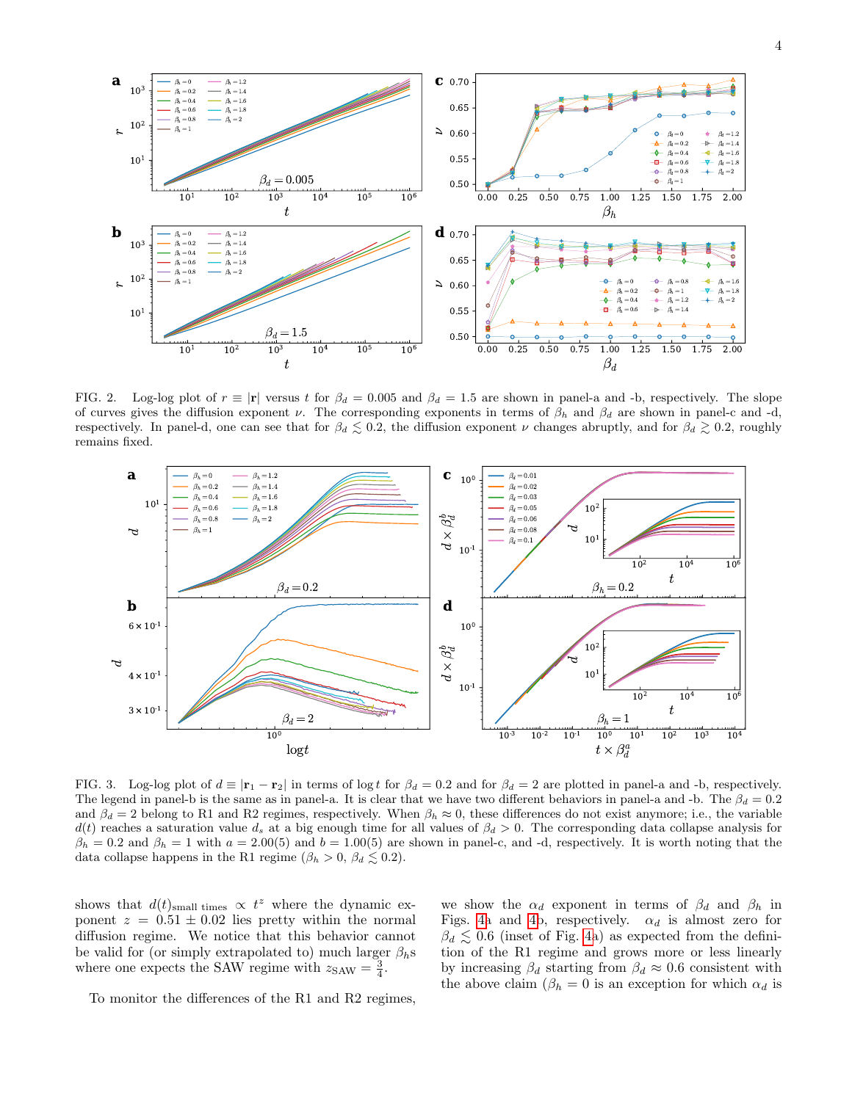

<span id="page-3-0"></span>FIG. 2. Log-log plot of  $r \equiv |\mathbf{r}|$  versus t for  $\beta_d = 0.005$  and  $\beta_d = 1.5$  are shown in panel-a and -b, respectively. The slope of curves gives the diffusion exponent  $\nu$ . The corresponding exponents in terms of  $\beta_h$  and  $\beta_d$  are shown in panel-c and -d, respectively. In panel-d, one can see that for  $\beta_d \lesssim 0.2$ , the diffusion exponent  $\nu$  changes abruptly, and for  $\beta_d \gtrsim 0.2$ , roughly remains fixed.



<span id="page-3-1"></span>FIG. 3. Log-log plot of  $d \equiv |\mathbf{r}_1 - \mathbf{r}_2|$  in terms of log t for  $\beta_d = 0.2$  and for  $\beta_d = 2$  are plotted in panel-a and -b, respectively. The legend in panel-b is the same as in panel-a. It is clear that we have two different behaviors in panel-a and -b. The  $\beta_d = 0.2$ and  $\beta_d = 2$  belong to R1 and R2 regimes, respectively. When  $\beta_h \approx 0$ , these differences do not exist anymore; i.e., the variable  $d(t)$  reaches a saturation value  $d_s$  at a big enough time for all values of  $\beta_d > 0$ . The corresponding data collapse analysis for  $\beta_h = 0.2$  and  $\beta_h = 1$  with  $a = 2.00(5)$  and  $b = 1.00(5)$  are shown in panel-c, and -d, respectively. It is worth noting that the data collapse happens in the R1 regime ( $\beta_h > 0$ ,  $\beta_d \leq 0.2$ ).

shows that  $d(t)_{\text{small times}} \propto t^z$  where the dynamic exponent  $z = 0.51 \pm 0.02$  lies pretty within the normal diffusion regime. We notice that this behavior cannot be valid for (or simply extrapolated to) much larger  $\beta_h$ s where one expects the SAW regime with  $z_{SAW} = \frac{3}{4}$ .

we show the  $\alpha_d$  exponent in terms of  $\beta_d$  and  $\beta_h$  in Figs. [4a](#page-4-0) and [4b](#page-4-0), respectively.  $\alpha_d$  is almost zero for  $\beta_d \lesssim 0.6$  (inset of Fig. [4a](#page-4-0)) as expected from the definition of the R1 regime and grows more or less linearly by increasing  $\beta_d$  starting from  $\beta_d \approx 0.6$  consistent with the above claim ( $\beta_h = 0$  is an exception for which  $\alpha_d$  is

To monitor the differences of the R1 and R2 regimes,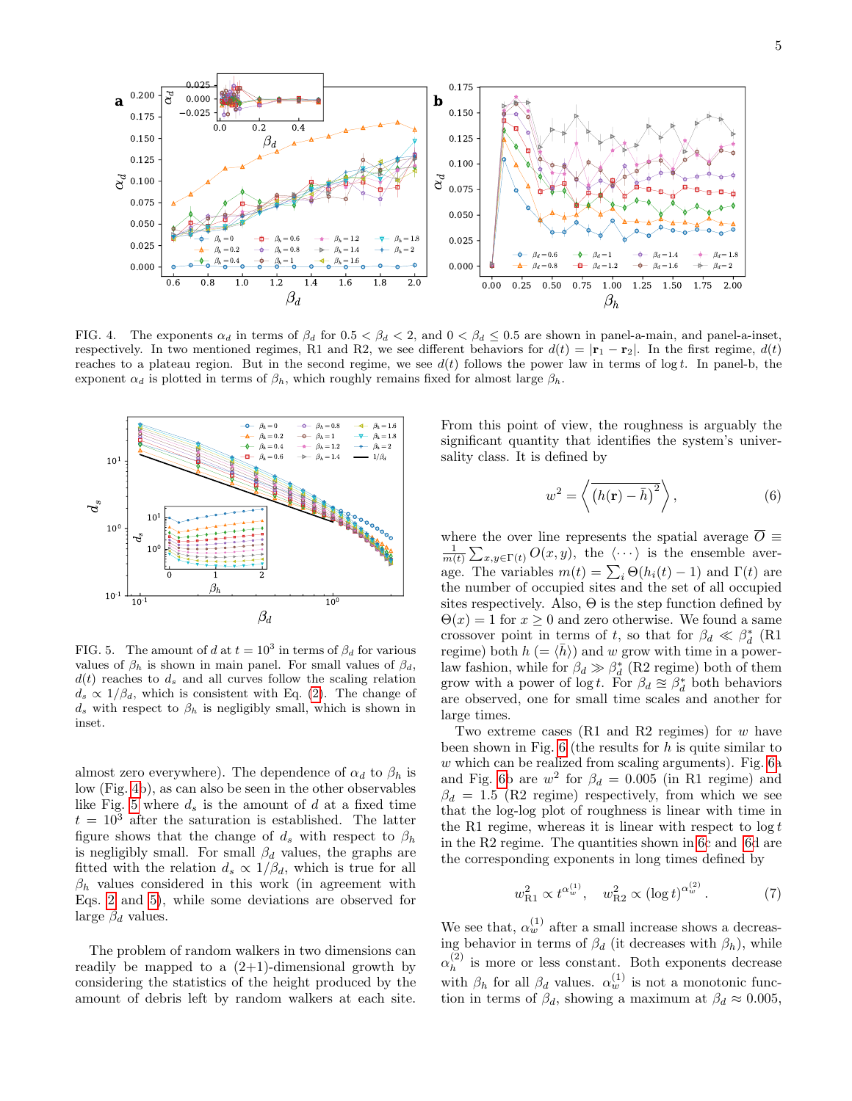

<span id="page-4-0"></span>FIG. 4. The exponents  $\alpha_d$  in terms of  $\beta_d$  for  $0.5 < \beta_d < 2$ , and  $0 < \beta_d \leq 0.5$  are shown in panel-a-main, and panel-a-inset, respectively. In two mentioned regimes, R1 and R2, we see different behaviors for  $d(t) = |\mathbf{r}_1 - \mathbf{r}_2|$ . In the first regime,  $d(t)$ reaches to a plateau region. But in the second regime, we see  $d(t)$  follows the power law in terms of log t. In panel-b, the exponent  $\alpha_d$  is plotted in terms of  $\beta_h$ , which roughly remains fixed for almost large  $\beta_h$ .



<span id="page-4-1"></span>FIG. 5. The amount of d at  $t = 10^3$  in terms of  $\beta_d$  for various values of  $\beta_h$  is shown in main panel. For small values of  $\beta_d$ ,  $d(t)$  reaches to  $d_s$  and all curves follow the scaling relation  $d_s \propto 1/\beta_d$ , which is consistent with Eq. [\(2\)](#page-1-1). The change of  $d_s$  with respect to  $\beta_h$  is negligibly small, which is shown in inset.

almost zero everywhere). The dependence of  $\alpha_d$  to  $\beta_h$  is low (Fig. [4b](#page-4-0)), as can also be seen in the other observables like Fig. [5](#page-4-1) where  $d_s$  is the amount of d at a fixed time  $t = 10<sup>3</sup>$  after the saturation is established. The latter figure shows that the change of  $d_s$  with respect to  $\beta_h$ is negligibly small. For small  $\beta_d$  values, the graphs are fitted with the relation  $d_s \propto 1/\beta_d$ , which is true for all  $\beta_h$  values considered in this work (in agreement with Eqs. [2](#page-1-1) and [5\)](#page-2-3), while some deviations are observed for large  $\beta_d$  values.

The problem of random walkers in two dimensions can readily be mapped to a  $(2+1)$ -dimensional growth by considering the statistics of the height produced by the amount of debris left by random walkers at each site.

From this point of view, the roughness is arguably the significant quantity that identifies the system's universality class. It is defined by

$$
w^2 = \left\langle \overline{\left(h(\mathbf{r}) - \bar{h}\right)^2} \right\rangle, \tag{6}
$$

where the over line represents the spatial average  $\overline{O} \equiv$  $\frac{1}{m(t)}\sum_{x,y\in\Gamma(t)}O(x,y),$  the  $\langle\cdots\rangle$  is the ensemble average. The variables  $m(t) = \sum_i \Theta(h_i(t) - 1)$  and  $\Gamma(t)$  are the number of occupied sites and the set of all occupied sites respectively. Also,  $\Theta$  is the step function defined by  $\Theta(x) = 1$  for  $x \geq 0$  and zero otherwise. We found a same crossover point in terms of t, so that for  $\beta_d \ll \beta_d^*$  (R1 regime) both  $h = \langle \bar{h} \rangle$  and w grow with time in a powerlaw fashion, while for  $\beta_d \gg \beta_d^*$  (R2 regime) both of them grow with a power of  $\log t$ . For  $\beta_d \approx \beta_d^*$  both behaviors are observed, one for small time scales and another for large times.

Two extreme cases (R1 and R2 regimes) for  $w$  have been shown in Fig.  $6$  (the results for h is quite similar to  $w$  which can be realized from scaling arguments). Fig.  $6a$ and Fig. [6b](#page-5-1) are  $w^2$  for  $\beta_d = 0.005$  (in R1 regime) and  $\beta_d = 1.5$  (R2 regime) respectively, from which we see that the log-log plot of roughness is linear with time in the R1 regime, whereas it is linear with respect to  $\log t$ in the R2 regime. The quantities shown in [6c](#page-5-1) and [6d](#page-5-1) are the corresponding exponents in long times defined by

$$
w_{\text{R1}}^2 \propto t^{\alpha_w^{(1)}}, \quad w_{\text{R2}}^2 \propto (\log t)^{\alpha_w^{(2)}}.
$$
 (7)

We see that,  $\alpha_w^{(1)}$  after a small increase shows a decreasing behavior in terms of  $\beta_d$  (it decreases with  $\beta_h$ ), while  $\alpha_h^{(2)}$  $h_h^{(2)}$  is more or less constant. Both exponents decrease with  $\beta_h$  for all  $\beta_d$  values.  $\alpha_w^{(1)}$  is not a monotonic function in terms of  $\beta_d$ , showing a maximum at  $\beta_d \approx 0.005$ ,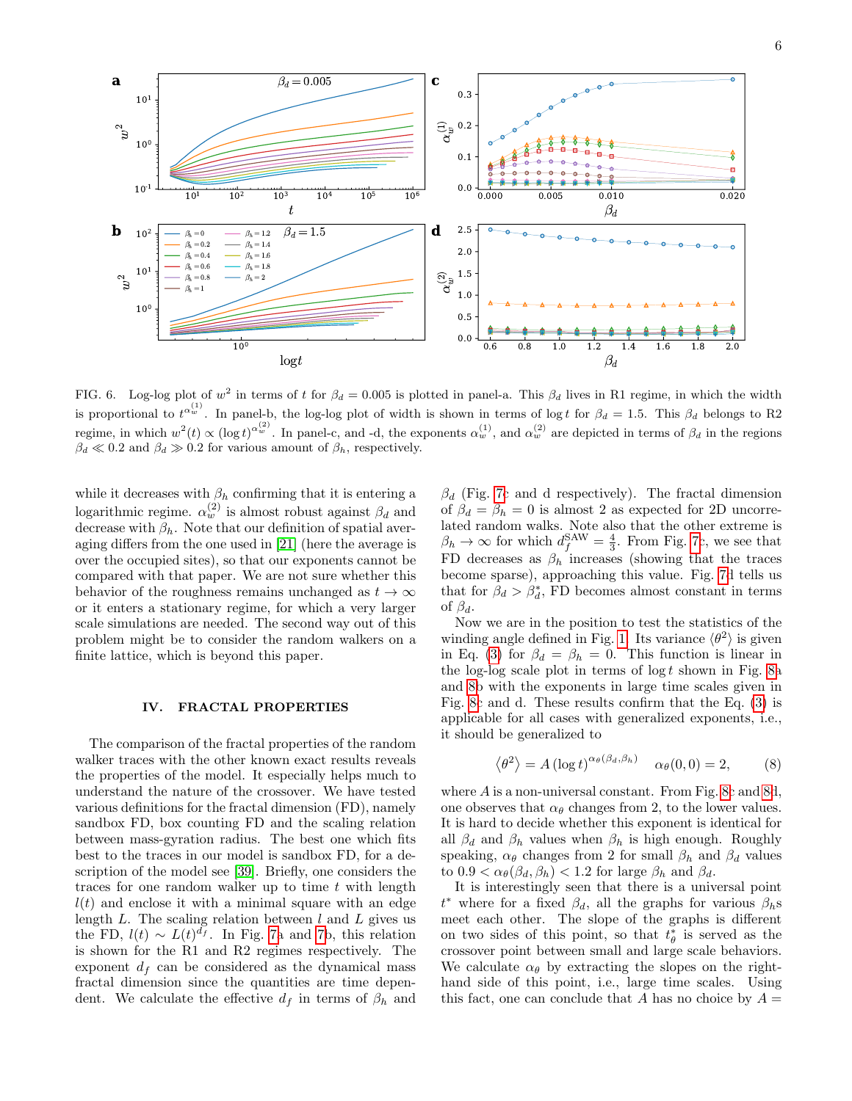

<span id="page-5-1"></span>FIG. 6. Log-log plot of  $w^2$  in terms of t for  $\beta_d = 0.005$  is plotted in panel-a. This  $\beta_d$  lives in R1 regime, in which the width is proportional to  $t^{\alpha_w^{(1)}}$ . In panel-b, the log-log plot of width is shown in terms of log t for  $\beta_d = 1.5$ . This  $\beta_d$  belongs to R2 regime, in which  $w^2(t) \propto (\log t)^{\alpha_w^{(2)}}$ . In panel-c, and -d, the exponents  $\alpha_w^{(1)}$ , and  $\alpha_w^{(2)}$  are depicted in terms of  $\beta_d$  in the regions  $\beta_d \ll 0.2$  and  $\beta_d \gg 0.2$  for various amount of  $\beta_h$ , respectively.

while it decreases with  $\beta_h$  confirming that it is entering a logarithmic regime.  $\alpha_w^{(2)}$  is almost robust against  $\beta_d$  and decrease with  $\beta_h$ . Note that our definition of spatial averaging differs from the one used in [\[21\]](#page-8-7) (here the average is over the occupied sites), so that our exponents cannot be compared with that paper. We are not sure whether this behavior of the roughness remains unchanged as  $t \to \infty$ or it enters a stationary regime, for which a very larger scale simulations are needed. The second way out of this problem might be to consider the random walkers on a finite lattice, which is beyond this paper.

#### <span id="page-5-0"></span>IV. FRACTAL PROPERTIES

The comparison of the fractal properties of the random walker traces with the other known exact results reveals the properties of the model. It especially helps much to understand the nature of the crossover. We have tested various definitions for the fractal dimension (FD), namely sandbox FD, box counting FD and the scaling relation between mass-gyration radius. The best one which fits best to the traces in our model is sandbox FD, for a description of the model see [\[39\]](#page-8-25). Briefly, one considers the traces for one random walker up to time  $t$  with length  $l(t)$  and enclose it with a minimal square with an edge length  $L$ . The scaling relation between  $l$  and  $L$  gives us the FD,  $l(t) \sim L(t)^{d_f}$ . In Fig. [7a](#page-6-0) and [7b](#page-6-0), this relation is shown for the R1 and R2 regimes respectively. The exponent  $d_f$  can be considered as the dynamical mass fractal dimension since the quantities are time dependent. We calculate the effective  $d_f$  in terms of  $\beta_h$  and

 $\beta_d$  (Fig. [7c](#page-6-0) and d respectively). The fractal dimension of  $\beta_d = \beta_h = 0$  is almost 2 as expected for 2D uncorrelated random walks. Note also that the other extreme is  $\beta_h \to \infty$  for which  $d_f^{\text{SAW}} = \frac{4}{3}$ . From Fig. [7c](#page-6-0), we see that FD decreases as  $\beta_h$  increases (showing that the traces become sparse), approaching this value. Fig. [7d](#page-6-0) tells us that for  $\beta_d > \beta_d^*$ , FD becomes almost constant in terms of  $\beta_d$ .

Now we are in the position to test the statistics of the winding angle defined in Fig. [1.](#page-2-1) Its variance  $\langle \theta^2 \rangle$  is given in Eq. [\(3\)](#page-1-2) for  $\beta_d = \beta_h = 0$ . This function is linear in the log-log scale plot in terms of  $\log t$  shown in Fig. [8a](#page-6-1) and [8b](#page-6-1) with the exponents in large time scales given in Fig. [8c](#page-6-1) and d. These results confirm that the Eq. [\(3\)](#page-1-2) is applicable for all cases with generalized exponents, i.e., it should be generalized to

$$
\langle \theta^2 \rangle = A (\log t)^{\alpha_\theta(\beta_d, \beta_h)} \quad \alpha_\theta(0, 0) = 2,\tag{8}
$$

where  $A$  is a non-universal constant. From Fig. [8c](#page-6-1) and [8d](#page-6-1), one observes that  $\alpha_{\theta}$  changes from 2, to the lower values. It is hard to decide whether this exponent is identical for all  $\beta_d$  and  $\beta_h$  values when  $\beta_h$  is high enough. Roughly speaking,  $\alpha_{\theta}$  changes from 2 for small  $\beta_h$  and  $\beta_d$  values to  $0.9 < \alpha_{\theta}(\beta_d, \beta_h) < 1.2$  for large  $\beta_h$  and  $\beta_d$ .

It is interestingly seen that there is a universal point  $t^*$  where for a fixed  $\beta_d$ , all the graphs for various  $\beta_h$ s meet each other. The slope of the graphs is different on two sides of this point, so that  $t^*_{\theta}$  is served as the crossover point between small and large scale behaviors. We calculate  $\alpha_{\theta}$  by extracting the slopes on the righthand side of this point, i.e., large time scales. Using this fact, one can conclude that A has no choice by  $A =$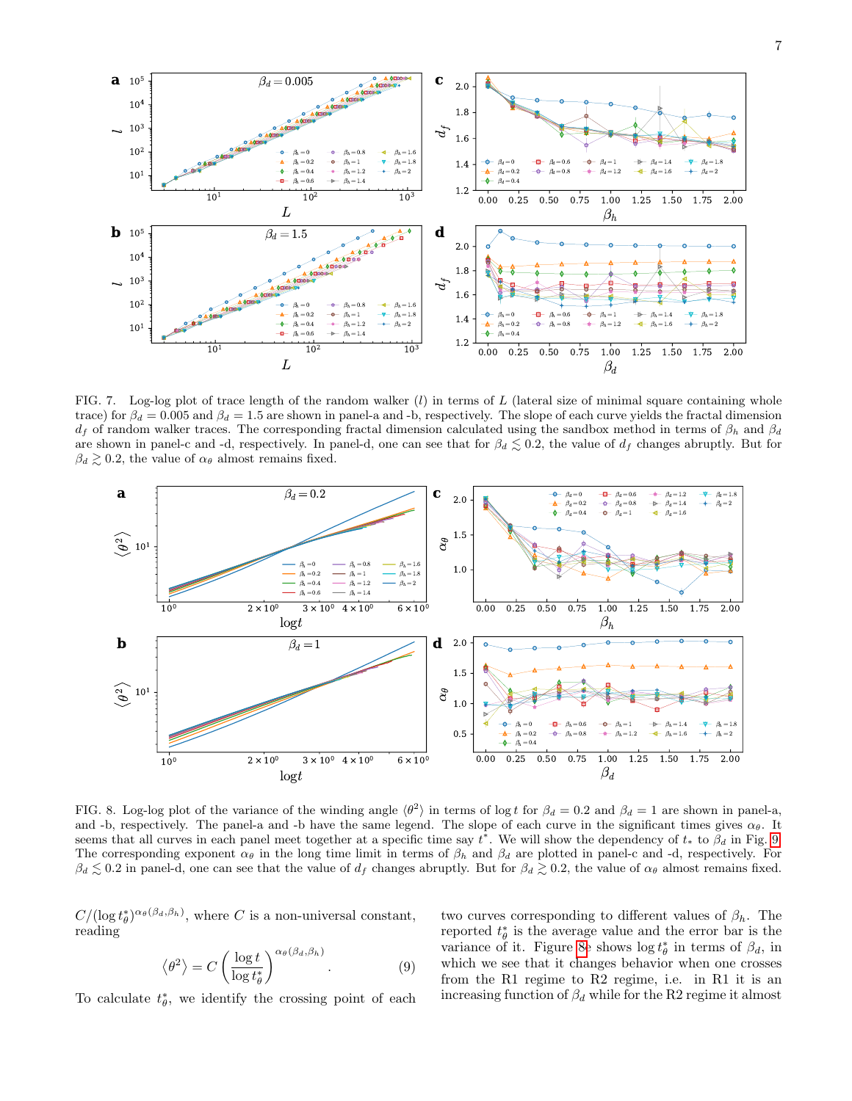

<span id="page-6-0"></span>FIG. 7. Log-log plot of trace length of the random walker  $(l)$  in terms of  $L$  (lateral size of minimal square containing whole trace) for  $\beta_d = 0.005$  and  $\beta_d = 1.5$  are shown in panel-a and -b, respectively. The slope of each curve yields the fractal dimension  $d_f$  of random walker traces. The corresponding fractal dimension calculated using the sandbox method in terms of  $\beta_h$  and  $\beta_d$ are shown in panel-c and -d, respectively. In panel-d, one can see that for  $\beta_d \leq 0.2$ , the value of  $d_f$  changes abruptly. But for  $\beta_d \gtrsim 0.2$ , the value of  $\alpha_{\theta}$  almost remains fixed.



<span id="page-6-1"></span>FIG. 8. Log-log plot of the variance of the winding angle  $\langle \theta^2 \rangle$  in terms of log t for  $\beta_d = 0.2$  and  $\beta_d = 1$  are shown in panel-a, and -b, respectively. The panel-a and -b have the same legend. The slope of each curve in the significant times gives  $\alpha_{\theta}$ . It seems that all curves in each panel meet together at a specific time say  $t^*$ . We will show the dependency of  $t_*$  to  $\beta_d$  in Fig. [9.](#page-7-11) The corresponding exponent  $\alpha_{\theta}$  in the long time limit in terms of  $\beta_h$  and  $\beta_d$  are plotted in panel-c and -d, respectively. For  $\beta_d \lesssim 0.2$  in panel-d, one can see that the value of  $d_f$  changes abruptly. But for  $\beta_d \gtrsim 0.2$ , the value of  $\alpha_\theta$  almost remains fixed.

 $C/(\log t_{\theta}^*)^{\alpha_{\theta}(\beta_d,\beta_h)},$  where C is a non-universal constant, reading

<span id="page-6-2"></span>
$$
\langle \theta^2 \rangle = C \left( \frac{\log t}{\log t_{\theta}^*} \right)^{\alpha_{\theta}(\beta_d, \beta_h)}.
$$
 (9)

To calculate  $t_{\theta}^*$ , we identify the crossing point of each

two curves corresponding to different values of  $\beta_h$ . The reported  $t^*_{\theta}$  is the average value and the error bar is the variance of it. Figure [8e](#page-6-1) shows  $\log t_{\theta}^*$  in terms of  $\beta_d$ , in which we see that it changes behavior when one crosses from the R1 regime to R2 regime, i.e. in R1 it is an increasing function of  $\beta_d$  while for the R2 regime it almost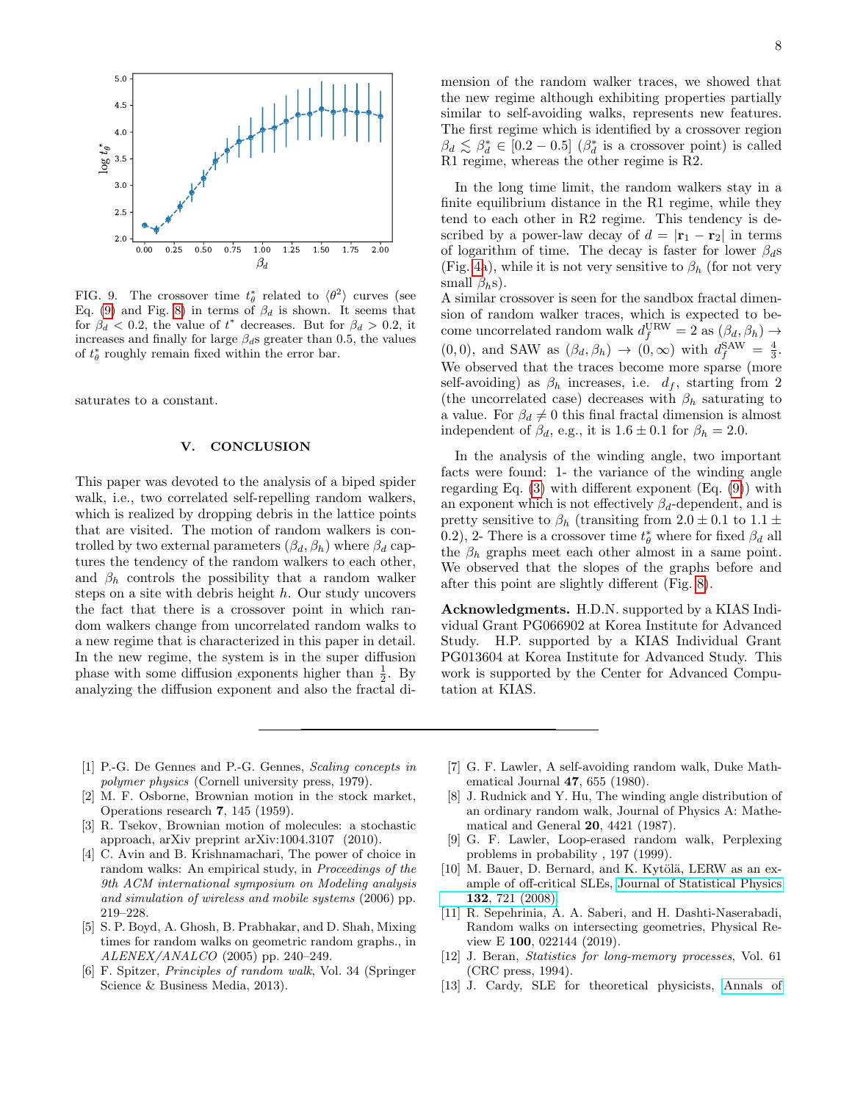

<span id="page-7-11"></span>FIG. 9. The crossover time  $t^*_{\theta}$  related to  $\langle \theta^2 \rangle$  curves (see Eq. [\(9\)](#page-6-2) and Fig. [8\)](#page-6-1) in terms of  $\beta_d$  is shown. It seems that for  $\beta_d$  < 0.2, the value of  $t^*$  decreases. But for  $\beta_d > 0.2$ , it increases and finally for large  $\beta_d$ s greater than 0.5, the values of  $t^*_{\theta}$  roughly remain fixed within the error bar.

saturates to a constant.

### V. CONCLUSION

This paper was devoted to the analysis of a biped spider walk, i.e., two correlated self-repelling random walkers, which is realized by dropping debris in the lattice points that are visited. The motion of random walkers is controlled by two external parameters  $(\beta_d, \beta_h)$  where  $\beta_d$  captures the tendency of the random walkers to each other, and  $\beta_h$  controls the possibility that a random walker steps on a site with debris height h. Our study uncovers the fact that there is a crossover point in which random walkers change from uncorrelated random walks to a new regime that is characterized in this paper in detail. In the new regime, the system is in the super diffusion phase with some diffusion exponents higher than  $\frac{1}{2}$ . By analyzing the diffusion exponent and also the fractal dimension of the random walker traces, we showed that the new regime although exhibiting properties partially similar to self-avoiding walks, represents new features. The first regime which is identified by a crossover region  $\beta_d \lesssim \beta_d^* \in [0.2 - 0.5]$  ( $\beta_d^*$  is a crossover point) is called R1 regime, whereas the other regime is R2.

In the long time limit, the random walkers stay in a finite equilibrium distance in the R1 regime, while they tend to each other in R2 regime. This tendency is described by a power-law decay of  $d = |\mathbf{r}_1 - \mathbf{r}_2|$  in terms of logarithm of time. The decay is faster for lower  $\beta_d$ s (Fig. [4a](#page-4-0)), while it is not very sensitive to  $\beta_h$  (for not very small  $\beta_h$ s).

A similar crossover is seen for the sandbox fractal dimension of random walker traces, which is expected to become uncorrelated random walk  $d_f^{\text{URW}} = 2$  as  $(\beta_d, \beta_h) \rightarrow$  $(0,0)$ , and SAW as  $(\beta_d, \beta_h) \rightarrow (0,\infty)$  with  $d_f^{\text{SAW}} = \frac{4}{3}$ . We observed that the traces become more sparse (more self-avoiding) as  $\beta_h$  increases, i.e.  $d_f$ , starting from 2 (the uncorrelated case) decreases with  $\beta_h$  saturating to a value. For  $\beta_d \neq 0$  this final fractal dimension is almost independent of  $\beta_d$ , e.g., it is  $1.6 \pm 0.1$  for  $\beta_h = 2.0$ .

In the analysis of the winding angle, two important facts were found: 1- the variance of the winding angle regarding Eq.  $(3)$  with different exponent  $(Eq. (9))$  $(Eq. (9))$  $(Eq. (9))$  with an exponent which is not effectively  $\beta_d$ -dependent, and is pretty sensitive to  $\beta_h$  (transiting from  $2.0 \pm 0.1$  to  $1.1 \pm$ 0.2), 2- There is a crossover time  $t^*_{\theta}$  where for fixed  $\beta_d$  all the  $\beta_h$  graphs meet each other almost in a same point. We observed that the slopes of the graphs before and after this point are slightly different (Fig. [8\)](#page-6-1).

Acknowledgments. H.D.N. supported by a KIAS Individual Grant PG066902 at Korea Institute for Advanced Study. H.P. supported by a KIAS Individual Grant PG013604 at Korea Institute for Advanced Study. This work is supported by the Center for Advanced Computation at KIAS.

- <span id="page-7-0"></span>[1] P.-G. De Gennes and P.-G. Gennes, Scaling concepts in polymer physics (Cornell university press, 1979).
- <span id="page-7-1"></span>[2] M. F. Osborne, Brownian motion in the stock market, Operations research 7, 145 (1959).
- <span id="page-7-2"></span>[3] R. Tsekov, Brownian motion of molecules: a stochastic approach, arXiv preprint arXiv:1004.3107 (2010).
- <span id="page-7-3"></span>[4] C. Avin and B. Krishnamachari, The power of choice in random walks: An empirical study, in Proceedings of the 9th ACM international symposium on Modeling analysis and simulation of wireless and mobile systems (2006) pp. 219–228.
- <span id="page-7-4"></span>[5] S. P. Boyd, A. Ghosh, B. Prabhakar, and D. Shah, Mixing times for random walks on geometric random graphs., in ALENEX/ANALCO (2005) pp. 240–249.
- <span id="page-7-5"></span>[6] F. Spitzer, Principles of random walk, Vol. 34 (Springer Science & Business Media, 2013).
- <span id="page-7-6"></span>[7] G. F. Lawler, A self-avoiding random walk, Duke Mathematical Journal 47, 655 (1980).
- <span id="page-7-10"></span>[8] J. Rudnick and Y. Hu, The winding angle distribution of an ordinary random walk, Journal of Physics A: Mathematical and General 20, 4421 (1987).
- [9] G. F. Lawler, Loop-erased random walk, Perplexing problems in probability , 197 (1999).
- [10] M. Bauer, D. Bernard, and K. Kytölä, LERW as an example of off-critical SLEs, [Journal of Statistical Physics](http://dx.doi.org/10.1007/s10955-008-9569-0) 132[, 721 \(2008\).](http://dx.doi.org/10.1007/s10955-008-9569-0)
- <span id="page-7-7"></span>[11] R. Sepehrinia, A. A. Saberi, and H. Dashti-Naserabadi, Random walks on intersecting geometries, Physical Review E 100, 022144 (2019).
- <span id="page-7-8"></span>[12] J. Beran, *Statistics for long-memory processes*, Vol. 61 (CRC press, 1994).
- <span id="page-7-9"></span>[13] J. Cardy, SLE for theoretical physicists, [Annals of](https://doi.org/10.1016/j.aop.2005.04.001)